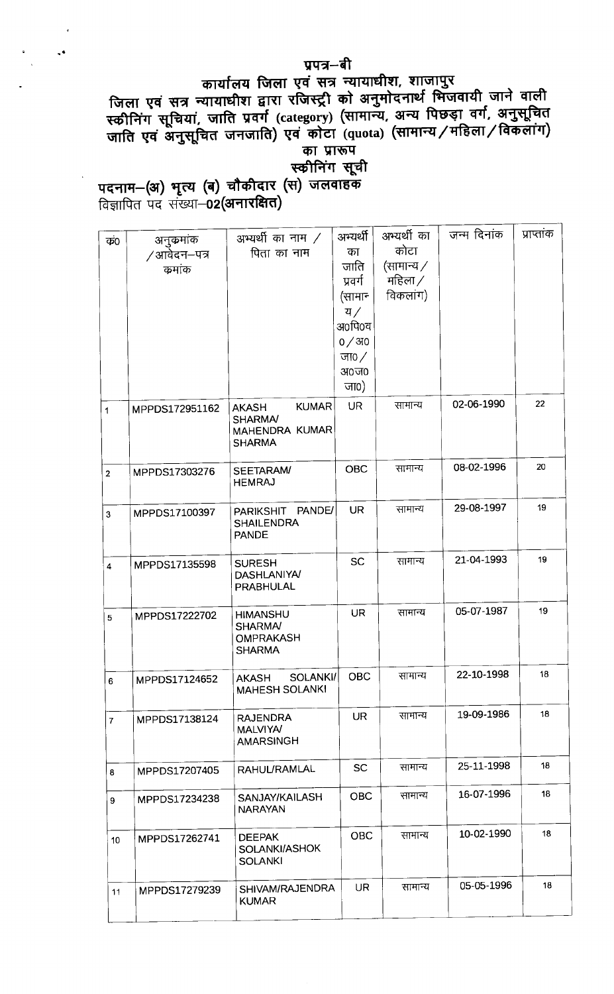कार्यालय होता १५ से से नामकारण के बात जाने वाली<br>जिला एवं सूत्र न्यायाधीश द्वारा रजिस्ट्री को अनुमोदनार्थ भिजवायी जाने वाली #F.ffl=farfuLrfu\*)tc±F8£(tH'(=¥qfinal/X¥| .<br>| का प्रारूप<br>|स्कीनिंग सूची

पदनाम-(अ) भृत्य (ब) चौकीदार (स) जलवाहक<br>विज्ञापित पद संख्या-02(अनारक्षित)

| कं0                     | अनुकर्माक<br>∕ आवेदन–पत्र<br>कर्माक | अभ्यर्थी का नाम $\angle$<br>पिता का नाम                                           | अभ्यर्थी<br>का<br>जाति<br>प्रवर्ग<br>(सामान<br>य $/$<br>अ०पि०च<br>0/310<br>जा0 $/$<br>अ०ज०<br>जा0) | अभ्यर्थी का<br>कोटा<br>(सामान्य $\angle$<br>महिला /<br>विकलांग) | जन्म दिनांक | प्राप्तांक |
|-------------------------|-------------------------------------|-----------------------------------------------------------------------------------|----------------------------------------------------------------------------------------------------|-----------------------------------------------------------------|-------------|------------|
| $\mathbf{1}$            | MPPDS172951162                      | <b>KUMAR</b><br><b>AKASH</b><br><b>SHARMA/</b><br>MAHENDRA KUMAR<br><b>SHARMA</b> | <b>UR</b>                                                                                          | सामान्य                                                         | 02-06-1990  | 22         |
| $\overline{2}$          | MPPDS17303276                       | SEETARAM/<br><b>HEMRAJ</b>                                                        | <b>OBC</b>                                                                                         | सामान्य                                                         | 08-02-1996  | 20         |
| 3                       | MPPDS17100397                       | PARIKSHIT PANDE/<br><b>SHAILENDRA</b><br><b>PANDE</b>                             | <b>UR</b>                                                                                          | सामान्य                                                         | 29-08-1997  | 19         |
| $\overline{\mathbf{4}}$ | MPPDS17135598                       | <b>SURESH</b><br><b>DASHLANIYA/</b><br><b>PRABHULAL</b>                           | <b>SC</b>                                                                                          | सामान्य                                                         | 21-04-1993  | 19         |
| 5                       | MPPDS17222702                       | <b>HIMANSHU</b><br><b>SHARMA/</b><br><b>OMPRAKASH</b><br><b>SHARMA</b>            | <b>UR</b>                                                                                          | सामान्य                                                         | 05-07-1987  | 19         |
| 6                       | MPPDS17124652                       | SOLANKI/<br><b>AKASH</b><br><b>MAHESH SOLANKI</b>                                 | <b>OBC</b>                                                                                         | सामान्य                                                         | 22-10-1998  | 18         |
| $\mathbf{7}$            | MPPDS17138124                       | <b>RAJENDRA</b><br><b>MALVIYA/</b><br><b>AMARSINGH</b>                            | <b>UR</b>                                                                                          | सामान्य                                                         | 19-09-1986  | 18         |
| 8                       | MPPDS17207405                       | <b>RAHUL/RAMLAL</b>                                                               | <b>SC</b>                                                                                          | सामान्य                                                         | 25-11-1998  | 18         |
| 9                       | MPPDS17234238                       | SANJAY/KAILASH<br><b>NARAYAN</b>                                                  | <b>OBC</b>                                                                                         | सामान्य                                                         | 16-07-1996  | 18         |
| 10                      | MPPDS17262741                       | <b>DEEPAK</b><br>SOLANKI/ASHOK<br><b>SOLANKI</b>                                  | <b>OBC</b>                                                                                         | सामान्य                                                         | 10-02-1990  | 18         |
| 11                      | MPPDS17279239                       | SHIVAM/RAJENDRA<br><b>KUMAR</b>                                                   | <b>UR</b>                                                                                          | सामान्य                                                         | 05-05-1996  | 18         |

# प्रपत्र–बी